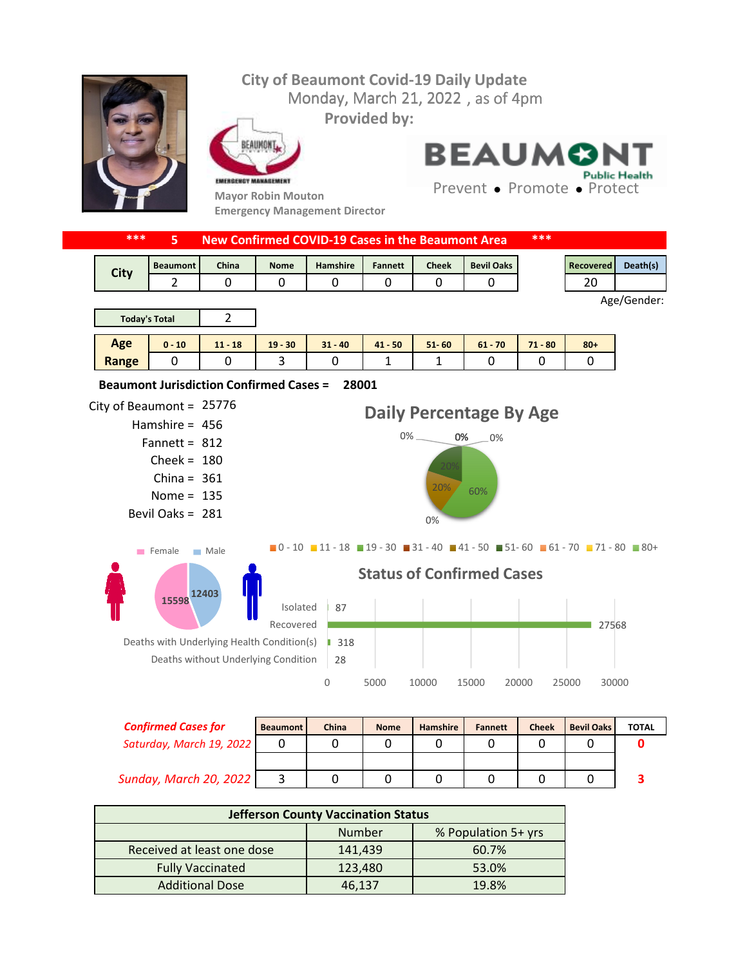## **City of Beaumont Covid-19 Daily Update** Monday, March 21, 2022, as of 4pm **Provided by:** EAUMONT **BEAUMO Public Health** EMERGENCY MANAGEMENT Prevent • Promote • Protect **Mayor Robin Mouton Emergency Management Director \*\*\* 5 New Confirmed COVID-19 Cases in the Beaumont Area \*\*\*** Beaumont | China | Nome | Hamshire | Fannett | Cheek | Bevil Oaks | Necovered | Death(s) **City** 2 0 0 0 0 0 0 0 0 1 20 Age/Gender: 2 **Today's Total Age 0 - 10 11 - 18 19 - 30 31 - 40 41 - 50 51- 60 61 - 70 71 - 80 80+ Range** 0 0 3 0 1 1 0 0 0 **28001 Beaumont Jurisdiction Confirmed Cases =**  City of Beaumont =  $25776$ **Daily Percentage By Age** Hamshire = 456  $0\%$   $0\%$   $0\%$ Fannett =  $812$  $Check = 180$ China =  $361$ 20% 60% Nome =  $135$ Bevil Oaks = 281 0%  $\blacksquare$ 0 - 10  $\blacksquare$  11 - 18  $\blacksquare$  19 - 30  $\blacksquare$  31 - 40  $\blacksquare$  41 - 50  $\blacksquare$  51 - 60  $\blacksquare$  61 - 70  $\blacksquare$  71 - 80  $\blacksquare$  80 + Female Male **Status of Confirmed Cases 12403 15598** 87 Isolated Recovered 27568 Deaths with Underlying Health Condition(s) | 318 Deaths without Underlying Condition 28 0 5000 10000 15000 20000 25000 30000 *Confirmed Cases for* Beaumont China Nome Hamshire Fannett Cheek Bevil Oaks TOTAL

| <b>Confirmed Cases for</b> | <b>Beaumont</b> | China | <b>Nome</b> | <b>Hamshire</b> | <b>Fannett</b> | <b>Cheek</b> | <b>Bevil Oaks</b> | <b>TOTAL</b> |
|----------------------------|-----------------|-------|-------------|-----------------|----------------|--------------|-------------------|--------------|
| Saturday, March 19, 2022   |                 |       |             |                 |                |              |                   |              |
|                            |                 |       |             |                 |                |              |                   |              |
| Sunday, March 20, 2022     |                 |       |             |                 |                |              |                   |              |
|                            |                 |       |             |                 |                |              |                   |              |

| <b>Jefferson County Vaccination Status</b> |               |                     |  |  |  |  |
|--------------------------------------------|---------------|---------------------|--|--|--|--|
|                                            | <b>Number</b> | % Population 5+ yrs |  |  |  |  |
| Received at least one dose                 | 141,439       | 60.7%               |  |  |  |  |
| <b>Fully Vaccinated</b>                    | 123,480       | 53.0%               |  |  |  |  |
| <b>Additional Dose</b>                     | 46,137        | 19.8%               |  |  |  |  |